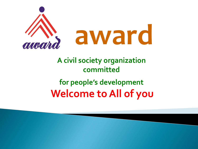

# **A civil society organization committed for people's development Welcome to All of you**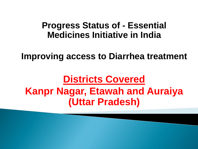### **Progress Status of - Essential Medicines Initiative in India**

**Improving access to Diarrhea treatment**

# **Districts Covered Kanpr Nagar, Etawah and Auraiya (Uttar Pradesh)**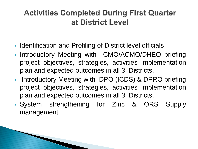## **Activities Completed During First Quarter** at District Level

- I Identification and Profiling of District level officials
- Introductory Meeting with CMO/ACMO/DHEO briefing project objectives, strategies, activities implementation plan and expected outcomes in all 3 Districts.
- **Introductory Meeting with DPO (ICDS) & DPRO briefing** project objectives, strategies, activities implementation plan and expected outcomes in all 3 Districts.
- System strengthening for Zinc & ORS Supply management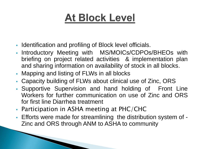# **At Block Level**

- Identification and profiling of Block level officials.
- Introductory Meeting with MS/MOICs/CDPOs/BHEOs with briefing on project related activities & implementation plan and sharing information on availability of stock in all blocks.
- Mapping and listing of FLWs in all blocks
- Capacity building of FLWs about clinical use of Zinc, ORS
- Supportive Supervision and hand holding of Front Line Workers for further communication on use of Zinc and ORS for first line Diarrhea treatment
- Participation in ASHA meeting at PHC/CHC
- Efforts were made for streamlining the distribution system of Zinc and ORS through ANM to ASHA to community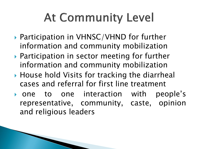# **At Community Level**

- ▶ Participation in VHNSC/VHND for further information and community mobilization
- ▶ Participation in sector meeting for further information and community mobilization
- ▶ House hold Visits for tracking the diarrheal cases and referral for first line treatment
- one to one interaction with people's representative, community, caste, opinion and religious leaders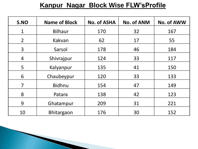#### **Kanpur Nagar Block Wise FLW'sProfile**

| S.NO           | <b>Name of Block</b> | <b>No. of ASHA</b> | <b>No. of ANM</b> | <b>No. of AWW</b> |
|----------------|----------------------|--------------------|-------------------|-------------------|
| $\mathbf 1$    | <b>Bilhaur</b>       | 170                | 32                | 167               |
| $\overline{2}$ | Kakvan               | 62                 | 17                | 55                |
| 3 <sup>1</sup> | Sarsol               | 178                | 46                | 184               |
| $\overline{4}$ | Shivrajpur           | 124                | 33                | 117               |
| 5              | Kalyanpur            | 135                | 41                | 150               |
| 6              | Chaubeypur           | 120                | 33                | 133               |
| $\overline{7}$ | <b>Bidhnu</b>        | 154                | 47                | 149               |
| 8              | Patara               | 138                | 42                | 123               |
| 9              | Ghatampur            | 209<br>31          |                   | 221               |
| 10             | <b>Bhitargaon</b>    | 176                | 30                | 152               |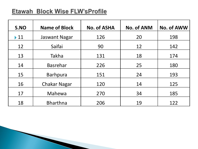#### Etawah Block Wise FLW'sProfile

| S.NO                     | <b>Name of Block</b> | <b>No. of ASHA</b> | <b>No. of ANM</b> | <b>No. of AWW</b> |
|--------------------------|----------------------|--------------------|-------------------|-------------------|
| $\blacktriangleright$ 11 | <b>Jaswant Nagar</b> | 126                | 20                | 198               |
| 12                       | Saifai               | 90                 | 12                | 142               |
| 13                       | <b>Takha</b>         | 131                | 18                | 174               |
| 14                       | <b>Basrehar</b>      | 226                | 25                | 180               |
| 15                       | <b>Barhpura</b>      | 151                | 24                | 193               |
| 16                       | <b>Chakar Nagar</b>  | 120                | 14                | 125               |
| 17                       | Mahewa               | 270                | 34                | 185               |
| 18                       | <b>Bharthna</b>      | 206                | 19                | 122               |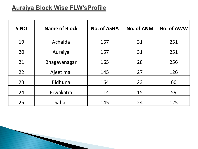#### **Auraiya Block Wise FLW'sProfile**

| S.NO | <b>Name of Block</b> | <b>No. of ASHA</b> | <b>No. of ANM</b> | <b>No. of AWW</b> |
|------|----------------------|--------------------|-------------------|-------------------|
| 19   | Achalda              | 157                | 31                | 251               |
| 20   | Auraiya              | 157                | 31                | 251               |
| 21   | <b>Bhagayanagar</b>  | 165                | 28                | 256               |
| 22   | Ajeet mal            | 145                | 27                | 126               |
| 23   | <b>Bidhuna</b>       | 164                | 23                | 60                |
| 24   | Erwakatra            | 114                | 15                | 59                |
| 25   | Sahar                | 145                | 24                | 125               |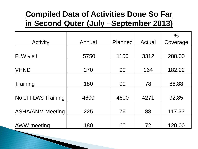## **Compiled Data of Activities Done So Far in Second Quter (July –September 2013)**

|                         |        |                |        | $\frac{0}{0}$ |
|-------------------------|--------|----------------|--------|---------------|
| <b>Activity</b>         | Annual | <b>Planned</b> | Actual | Coverage      |
|                         |        |                |        |               |
| <b>FLW visit</b>        | 5750   | 1150           | 3312   | 288.00        |
|                         |        |                |        |               |
| <b>VHND</b>             | 270    | 90             | 164    | 182.22        |
|                         |        |                |        |               |
| Training                | 180    | 90             | 78     | 86.88         |
|                         |        |                |        |               |
| No of FLWs Training     | 4600   | 4600           | 4271   | 92.85         |
|                         |        |                |        |               |
| <b>ASHA/ANM Meeting</b> | 225    | 75             | 88     | 117.33        |
|                         |        |                |        |               |
| <b>AWW</b> meeting      | 180    | 60             | 72     | 120.00        |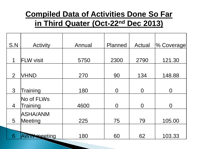## **Compiled Data of Activities Done So Far in Third Quater (Oct-22nd Dec 2013)**

| S.N            | <b>Activity</b>     | Annual | Planned        | Actual         | % Coverage |
|----------------|---------------------|--------|----------------|----------------|------------|
|                |                     |        |                |                |            |
| 1              | <b>FLW visit</b>    | 5750   | 2300           | 2790           | 121.30     |
|                |                     |        |                |                |            |
| 2              | <b>VHND</b>         | 270    | 90             | 134            | 148.88     |
|                |                     |        |                |                |            |
| $\mathbf{3}$   | Training            | 180    | $\Omega$       | $\overline{0}$ | O          |
|                | No of FLWs          |        |                |                |            |
| $\overline{4}$ | Training            | 4600   | $\overline{0}$ | $\overline{0}$ | O          |
|                | ASHA/ANM            |        |                |                |            |
| 5              | Meeting             | 225    | 75             | 79             | 105.00     |
|                |                     |        |                |                |            |
| 6              | <b>WWW poeeting</b> | 180    | 60             | 62             | 103.33     |